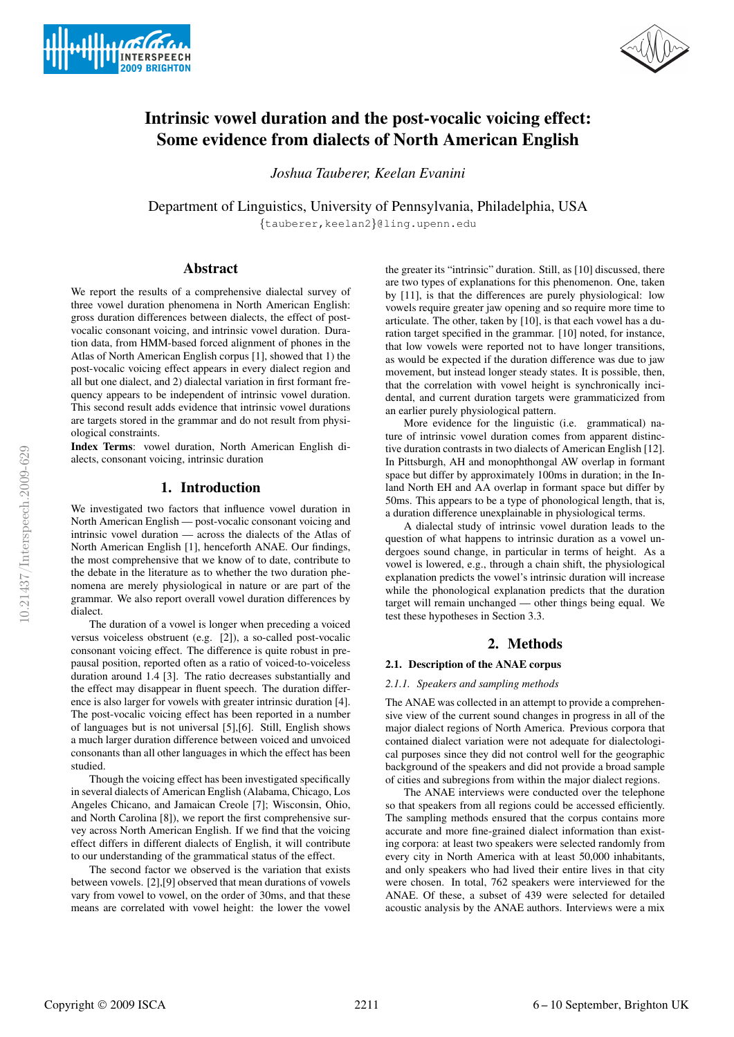



# Intrinsic vowel duration and the post-vocalic voicing effect: Some evidence from dialects of North American English

*Joshua Tauberer, Keelan Evanini*

Department of Linguistics, University of Pennsylvania, Philadelphia, USA

{tauberer,keelan2}@ling.upenn.edu

# Abstract

We report the results of a comprehensive dialectal survey of three vowel duration phenomena in North American English: gross duration differences between dialects, the effect of postvocalic consonant voicing, and intrinsic vowel duration. Duration data, from HMM-based forced alignment of phones in the Atlas of North American English corpus [1], showed that 1) the post-vocalic voicing effect appears in every dialect region and all but one dialect, and 2) dialectal variation in first formant frequency appears to be independent of intrinsic vowel duration. This second result adds evidence that intrinsic vowel durations are targets stored in the grammar and do not result from physiological constraints.

Index Terms: vowel duration, North American English dialects, consonant voicing, intrinsic duration

# 1. Introduction

We investigated two factors that influence vowel duration in North American English — post-vocalic consonant voicing and intrinsic vowel duration — across the dialects of the Atlas of North American English [1], henceforth ANAE. Our findings, the most comprehensive that we know of to date, contribute to the debate in the literature as to whether the two duration phenomena are merely physiological in nature or are part of the grammar. We also report overall vowel duration differences by dialect.

The duration of a vowel is longer when preceding a voiced versus voiceless obstruent (e.g. [2]), a so-called post-vocalic consonant voicing effect. The difference is quite robust in prepausal position, reported often as a ratio of voiced-to-voiceless duration around 1.4 [3]. The ratio decreases substantially and the effect may disappear in fluent speech. The duration difference is also larger for vowels with greater intrinsic duration [4]. The post-vocalic voicing effect has been reported in a number of languages but is not universal [5],[6]. Still, English shows a much larger duration difference between voiced and unvoiced consonants than all other languages in which the effect has been studied.

Though the voicing effect has been investigated specifically in several dialects of American English (Alabama, Chicago, Los Angeles Chicano, and Jamaican Creole [7]; Wisconsin, Ohio, and North Carolina [8]), we report the first comprehensive survey across North American English. If we find that the voicing effect differs in different dialects of English, it will contribute to our understanding of the grammatical status of the effect.

The second factor we observed is the variation that exists between vowels. [2],[9] observed that mean durations of vowels vary from vowel to vowel, on the order of 30ms, and that these means are correlated with vowel height: the lower the vowel

the greater its "intrinsic" duration. Still, as [10] discussed, there are two types of explanations for this phenomenon. One, taken by [11], is that the differences are purely physiological: low vowels require greater jaw opening and so require more time to articulate. The other, taken by [10], is that each vowel has a duration target specified in the grammar. [10] noted, for instance, that low vowels were reported not to have longer transitions, as would be expected if the duration difference was due to jaw movement, but instead longer steady states. It is possible, then, that the correlation with vowel height is synchronically incidental, and current duration targets were grammaticized from an earlier purely physiological pattern.

More evidence for the linguistic (i.e. grammatical) nature of intrinsic vowel duration comes from apparent distinctive duration contrasts in two dialects of American English [12]. In Pittsburgh, AH and monophthongal AW overlap in formant space but differ by approximately 100ms in duration; in the Inland North EH and AA overlap in formant space but differ by 50ms. This appears to be a type of phonological length, that is, a duration difference unexplainable in physiological terms.

A dialectal study of intrinsic vowel duration leads to the question of what happens to intrinsic duration as a vowel undergoes sound change, in particular in terms of height. As a vowel is lowered, e.g., through a chain shift, the physiological explanation predicts the vowel's intrinsic duration will increase while the phonological explanation predicts that the duration target will remain unchanged — other things being equal. We test these hypotheses in Section 3.3.

# 2. Methods

# 2.1. Description of the ANAE corpus

# *2.1.1. Speakers and sampling methods*

The ANAE was collected in an attempt to provide a comprehensive view of the current sound changes in progress in all of the major dialect regions of North America. Previous corpora that contained dialect variation were not adequate for dialectological purposes since they did not control well for the geographic background of the speakers and did not provide a broad sample of cities and subregions from within the major dialect regions.

The ANAE interviews were conducted over the telephone so that speakers from all regions could be accessed efficiently. The sampling methods ensured that the corpus contains more accurate and more fine-grained dialect information than existing corpora: at least two speakers were selected randomly from every city in North America with at least 50,000 inhabitants, and only speakers who had lived their entire lives in that city were chosen. In total, 762 speakers were interviewed for the ANAE. Of these, a subset of 439 were selected for detailed acoustic analysis by the ANAE authors. Interviews were a mix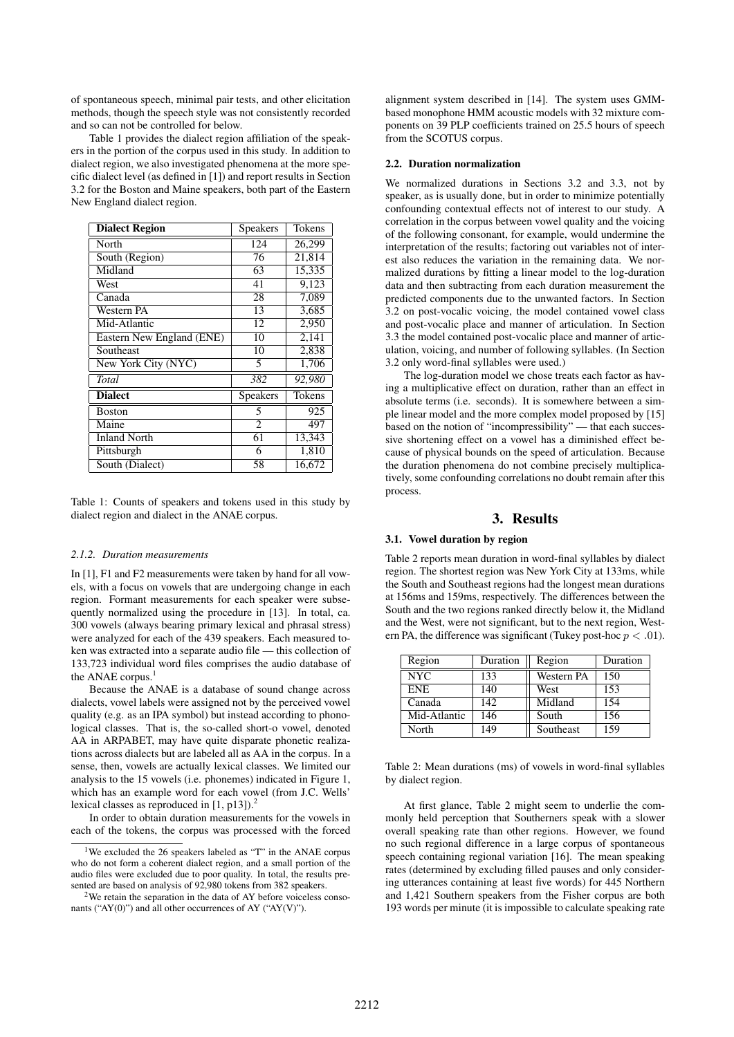of spontaneous speech, minimal pair tests, and other elicitation methods, though the speech style was not consistently recorded and so can not be controlled for below.

Table 1 provides the dialect region affiliation of the speakers in the portion of the corpus used in this study. In addition to dialect region, we also investigated phenomena at the more specific dialect level (as defined in [1]) and report results in Section 3.2 for the Boston and Maine speakers, both part of the Eastern New England dialect region.

| <b>Dialect Region</b>     | Speakers        | Tokens |
|---------------------------|-----------------|--------|
| North                     | 124             | 26,299 |
| South (Region)            | 76              | 21,814 |
| Midland                   | 63              | 15,335 |
| West                      | 41              | 9,123  |
| Canada                    | 28              | 7,089  |
| Western PA                | 13              | 3,685  |
| Mid-Atlantic              | 12              | 2,950  |
| Eastern New England (ENE) | 10              | 2,141  |
| Southeast                 | 10              | 2,838  |
| New York City (NYC)       | 5               | 1,706  |
| Total                     | 382             | 92,980 |
| <b>Dialect</b>            | <b>Speakers</b> | Tokens |
| <b>Boston</b>             | 5               | 925    |
| Maine                     | $\overline{c}$  | 497    |
| <b>Inland North</b>       | 61              | 13,343 |
| Pittsburgh                | 6               | 1,810  |
| South (Dialect)           | 58              | 16,672 |

Table 1: Counts of speakers and tokens used in this study by dialect region and dialect in the ANAE corpus.

#### *2.1.2. Duration measurements*

In [1], F1 and F2 measurements were taken by hand for all vowels, with a focus on vowels that are undergoing change in each region. Formant measurements for each speaker were subsequently normalized using the procedure in [13]. In total, ca. 300 vowels (always bearing primary lexical and phrasal stress) were analyzed for each of the 439 speakers. Each measured token was extracted into a separate audio file — this collection of 133,723 individual word files comprises the audio database of the ANAE corpus.<sup>1</sup>

Because the ANAE is a database of sound change across dialects, vowel labels were assigned not by the perceived vowel quality (e.g. as an IPA symbol) but instead according to phonological classes. That is, the so-called short-o vowel, denoted AA in ARPABET, may have quite disparate phonetic realizations across dialects but are labeled all as AA in the corpus. In a sense, then, vowels are actually lexical classes. We limited our analysis to the 15 vowels (i.e. phonemes) indicated in Figure 1, which has an example word for each vowel (from J.C. Wells' lexical classes as reproduced in  $[1, p13]$ .<sup>2</sup>

In order to obtain duration measurements for the vowels in each of the tokens, the corpus was processed with the forced alignment system described in [14]. The system uses GMMbased monophone HMM acoustic models with 32 mixture components on 39 PLP coefficients trained on 25.5 hours of speech from the SCOTUS corpus.

#### 2.2. Duration normalization

We normalized durations in Sections 3.2 and 3.3, not by speaker, as is usually done, but in order to minimize potentially confounding contextual effects not of interest to our study. A correlation in the corpus between vowel quality and the voicing of the following consonant, for example, would undermine the interpretation of the results; factoring out variables not of interest also reduces the variation in the remaining data. We normalized durations by fitting a linear model to the log-duration data and then subtracting from each duration measurement the predicted components due to the unwanted factors. In Section 3.2 on post-vocalic voicing, the model contained vowel class and post-vocalic place and manner of articulation. In Section 3.3 the model contained post-vocalic place and manner of articulation, voicing, and number of following syllables. (In Section 3.2 only word-final syllables were used.)

The log-duration model we chose treats each factor as having a multiplicative effect on duration, rather than an effect in absolute terms (i.e. seconds). It is somewhere between a simple linear model and the more complex model proposed by [15] based on the notion of "incompressibility" — that each successive shortening effect on a vowel has a diminished effect because of physical bounds on the speed of articulation. Because the duration phenomena do not combine precisely multiplicatively, some confounding correlations no doubt remain after this process.

# 3. Results

#### 3.1. Vowel duration by region

Table 2 reports mean duration in word-final syllables by dialect region. The shortest region was New York City at 133ms, while the South and Southeast regions had the longest mean durations at 156ms and 159ms, respectively. The differences between the South and the two regions ranked directly below it, the Midland and the West, were not significant, but to the next region, Western PA, the difference was significant (Tukey post-hoc  $p < .01$ ).

| Region       | Duration | Region     | Duration |
|--------------|----------|------------|----------|
| <b>NYC</b>   | 133      | Western PA | 150      |
| <b>ENE</b>   | 140      | West       | 153      |
| Canada       | 142      | Midland    | 154      |
| Mid-Atlantic | 146      | South      | 156      |
| North        | 149      | Southeast  | 159      |

Table 2: Mean durations (ms) of vowels in word-final syllables by dialect region.

At first glance, Table 2 might seem to underlie the commonly held perception that Southerners speak with a slower overall speaking rate than other regions. However, we found no such regional difference in a large corpus of spontaneous speech containing regional variation [16]. The mean speaking rates (determined by excluding filled pauses and only considering utterances containing at least five words) for 445 Northern and 1,421 Southern speakers from the Fisher corpus are both 193 words per minute (it is impossible to calculate speaking rate

<sup>&</sup>lt;sup>1</sup>We excluded the 26 speakers labeled as "T" in the ANAE corpus who do not form a coherent dialect region, and a small portion of the audio files were excluded due to poor quality. In total, the results presented are based on analysis of 92,980 tokens from 382 speakers.

<sup>2</sup>We retain the separation in the data of AY before voiceless consonants ("AY(0)") and all other occurrences of AY ("AY(V)").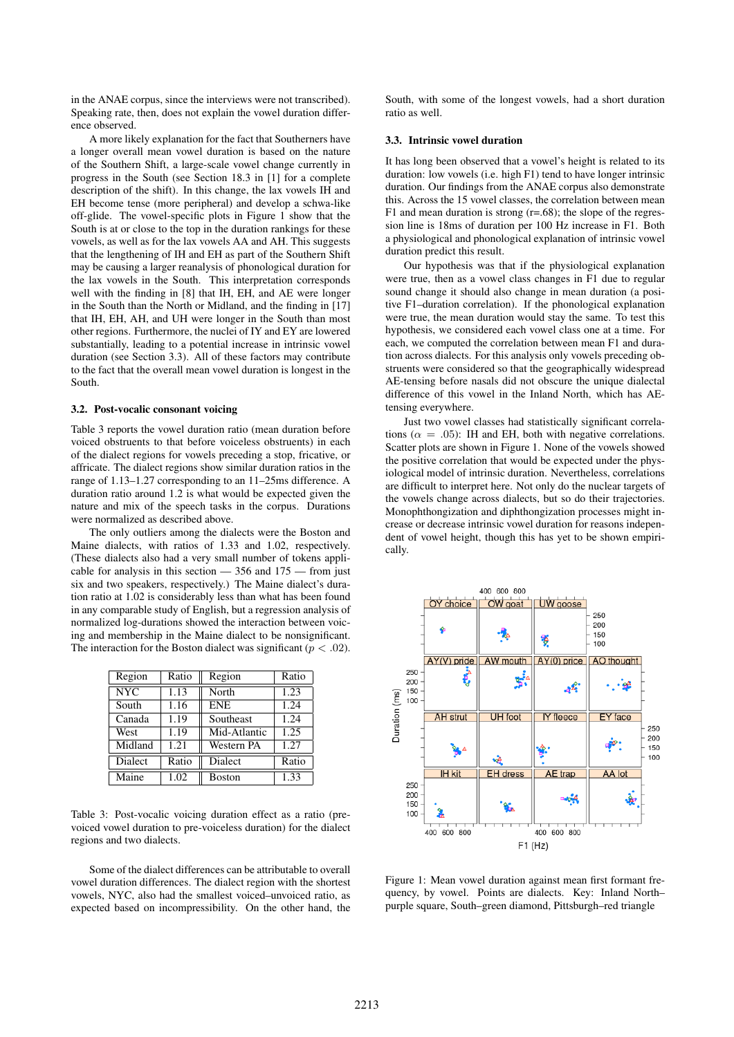in the ANAE corpus, since the interviews were not transcribed). Speaking rate, then, does not explain the vowel duration difference observed.

A more likely explanation for the fact that Southerners have a longer overall mean vowel duration is based on the nature of the Southern Shift, a large-scale vowel change currently in progress in the South (see Section 18.3 in [1] for a complete description of the shift). In this change, the lax vowels IH and EH become tense (more peripheral) and develop a schwa-like off-glide. The vowel-specific plots in Figure 1 show that the South is at or close to the top in the duration rankings for these vowels, as well as for the lax vowels AA and AH. This suggests that the lengthening of IH and EH as part of the Southern Shift may be causing a larger reanalysis of phonological duration for the lax vowels in the South. This interpretation corresponds well with the finding in [8] that IH, EH, and AE were longer in the South than the North or Midland, and the finding in [17] that IH, EH, AH, and UH were longer in the South than most other regions. Furthermore, the nuclei of IY and EY are lowered substantially, leading to a potential increase in intrinsic vowel duration (see Section 3.3). All of these factors may contribute to the fact that the overall mean vowel duration is longest in the South.

### 3.2. Post-vocalic consonant voicing

Table 3 reports the vowel duration ratio (mean duration before voiced obstruents to that before voiceless obstruents) in each of the dialect regions for vowels preceding a stop, fricative, or affricate. The dialect regions show similar duration ratios in the range of 1.13–1.27 corresponding to an 11–25ms difference. A duration ratio around 1.2 is what would be expected given the nature and mix of the speech tasks in the corpus. Durations were normalized as described above.

The only outliers among the dialects were the Boston and Maine dialects, with ratios of 1.33 and 1.02, respectively. (These dialects also had a very small number of tokens applicable for analysis in this section  $-356$  and  $175$  - from just six and two speakers, respectively.) The Maine dialect's duration ratio at 1.02 is considerably less than what has been found in any comparable study of English, but a regression analysis of normalized log-durations showed the interaction between voicing and membership in the Maine dialect to be nonsignificant. The interaction for the Boston dialect was significant ( $p < .02$ ).

| Region                  | Ratio | Region       | Ratio |
|-------------------------|-------|--------------|-------|
| $\overline{\text{NYC}}$ | 1.13  | North        | 1.23  |
| South                   | 1.16  | <b>ENE</b>   | 1.24  |
| Canada                  | 1.19  | Southeast    | 1.24  |
| West                    | 1.19  | Mid-Atlantic | 1.25  |
| Midland                 | 1.21  | Western PA   | 1.27  |
| <b>Dialect</b>          | Ratio | Dialect      | Ratio |
| Maine                   | 1.02  | Boston       | 1.33  |

Table 3: Post-vocalic voicing duration effect as a ratio (prevoiced vowel duration to pre-voiceless duration) for the dialect regions and two dialects.

Some of the dialect differences can be attributable to overall vowel duration differences. The dialect region with the shortest vowels, NYC, also had the smallest voiced–unvoiced ratio, as expected based on incompressibility. On the other hand, the South, with some of the longest vowels, had a short duration ratio as well.

### 3.3. Intrinsic vowel duration

It has long been observed that a vowel's height is related to its duration: low vowels (i.e. high F1) tend to have longer intrinsic duration. Our findings from the ANAE corpus also demonstrate this. Across the 15 vowel classes, the correlation between mean F1 and mean duration is strong  $(r=.68)$ ; the slope of the regression line is 18ms of duration per 100 Hz increase in F1. Both a physiological and phonological explanation of intrinsic vowel duration predict this result.

Our hypothesis was that if the physiological explanation were true, then as a vowel class changes in F1 due to regular sound change it should also change in mean duration (a positive F1–duration correlation). If the phonological explanation were true, the mean duration would stay the same. To test this hypothesis, we considered each vowel class one at a time. For each, we computed the correlation between mean F1 and duration across dialects. For this analysis only vowels preceding obstruents were considered so that the geographically widespread AE-tensing before nasals did not obscure the unique dialectal difference of this vowel in the Inland North, which has AEtensing everywhere.

Just two vowel classes had statistically significant correlations ( $\alpha = .05$ ): IH and EH, both with negative correlations. Scatter plots are shown in Figure 1. None of the vowels showed the positive correlation that would be expected under the physiological model of intrinsic duration. Nevertheless, correlations are difficult to interpret here. Not only do the nuclear targets of the vowels change across dialects, but so do their trajectories. Monophthongization and diphthongization processes might increase or decrease intrinsic vowel duration for reasons independent of vowel height, though this has yet to be shown empirically.



Figure 1: Mean vowel duration against mean first formant frequency, by vowel. Points are dialects. Key: Inland North– purple square, South–green diamond, Pittsburgh–red triangle